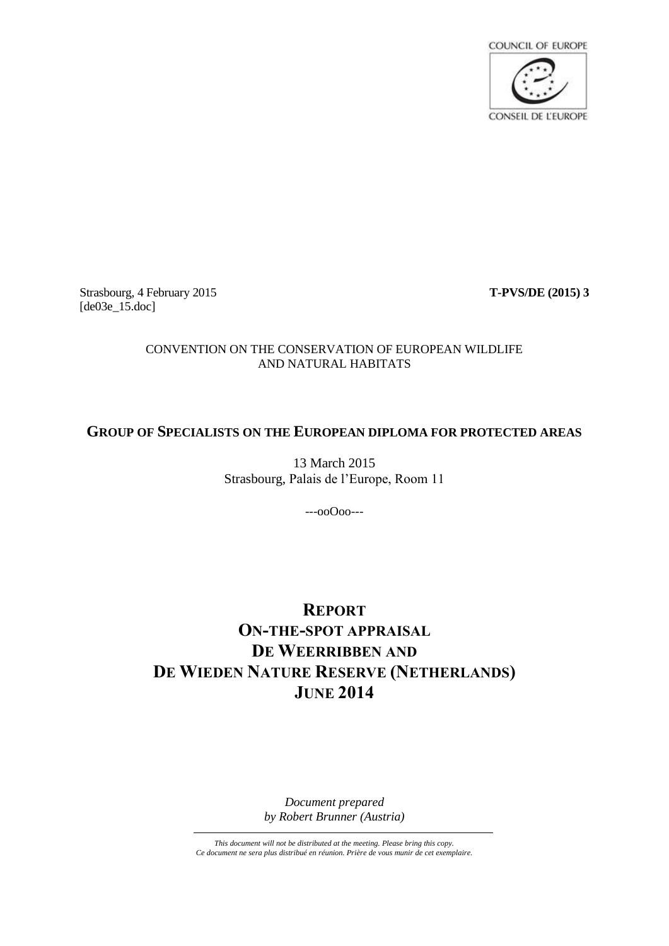

Strasbourg, 4 February 2015 **T-PVS/DE (2015) 3** [de03e\_15.doc]

# CONVENTION ON THE CONSERVATION OF EUROPEAN WILDLIFE AND NATURAL HABITATS

# **GROUP OF SPECIALISTS ON THE EUROPEAN DIPLOMA FOR PROTECTED AREAS**

13 March 2015 Strasbourg, Palais de l'Europe, Room 11

---ooOoo---

# **REPORT ON-THE-SPOT APPRAISAL DE WEERRIBBEN AND DE WIEDEN NATURE RESERVE (NETHERLANDS) JUNE 2014**

*Document prepared by Robert Brunner (Austria)*

*This document will not be distributed at the meeting. Please bring this copy. Ce document ne sera plus distribué en réunion. Prière de vous munir de cet exemplaire.*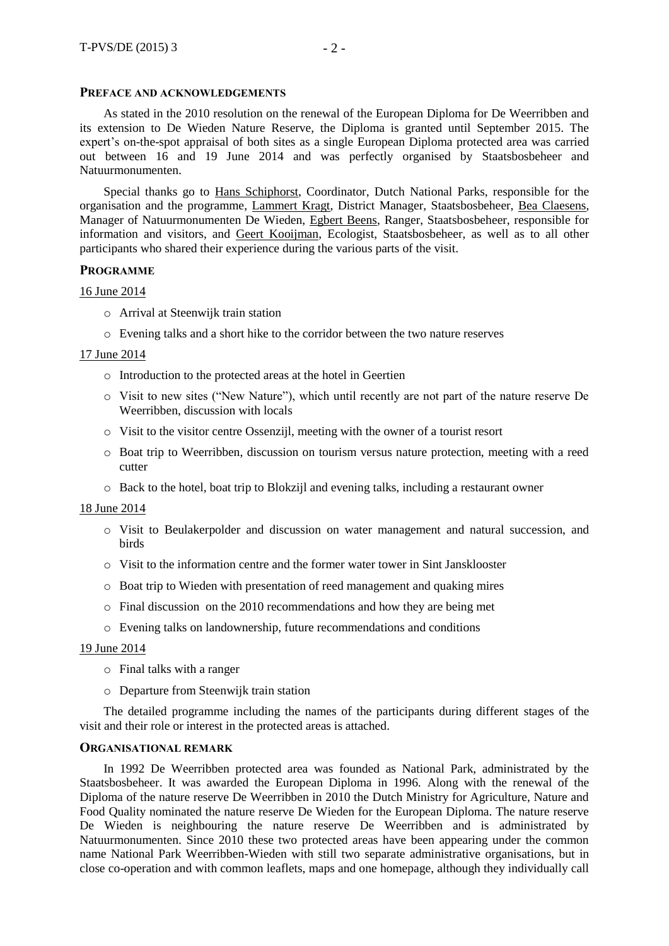# **PREFACE AND ACKNOWLEDGEMENTS**

As stated in the 2010 resolution on the renewal of the European Diploma for De Weerribben and its extension to De Wieden Nature Reserve, the Diploma is granted until September 2015. The expert's on-the-spot appraisal of both sites as a single European Diploma protected area was carried out between 16 and 19 June 2014 and was perfectly organised by Staatsbosbeheer and Natuurmonumenten.

Special thanks go to Hans Schiphorst, Coordinator, Dutch National Parks, responsible for the organisation and the programme, Lammert Kragt, District Manager, Staatsbosbeheer, Bea Claesens, Manager of Natuurmonumenten De Wieden, Egbert Beens, Ranger, Staatsbosbeheer, responsible for information and visitors, and Geert Kooijman, Ecologist, Staatsbosbeheer, as well as to all other participants who shared their experience during the various parts of the visit.

# **PROGRAMME**

# 16 June 2014

- o Arrival at Steenwijk train station
- o Evening talks and a short hike to the corridor between the two nature reserves

# 17 June 2014

- o Introduction to the protected areas at the hotel in Geertien
- o Visit to new sites ("New Nature"), which until recently are not part of the nature reserve De Weerribben, discussion with locals
- o Visit to the visitor centre Ossenzijl, meeting with the owner of a tourist resort
- o Boat trip to Weerribben, discussion on tourism versus nature protection, meeting with a reed cutter
- o Back to the hotel, boat trip to Blokzijl and evening talks, including a restaurant owner

18 June 2014

- o Visit to Beulakerpolder and discussion on water management and natural succession, and birds
- o Visit to the information centre and the former water tower in Sint Jansklooster
- o Boat trip to Wieden with presentation of reed management and quaking mires
- o Final discussion on the 2010 recommendations and how they are being met
- o Evening talks on landownership, future recommendations and conditions

# 19 June 2014

- o Final talks with a ranger
- o Departure from Steenwijk train station

The detailed programme including the names of the participants during different stages of the visit and their role or interest in the protected areas is attached.

# **ORGANISATIONAL REMARK**

In 1992 De Weerribben protected area was founded as National Park, administrated by the Staatsbosbeheer. It was awarded the European Diploma in 1996. Along with the renewal of the Diploma of the nature reserve De Weerribben in 2010 the Dutch Ministry for Agriculture, Nature and Food Quality nominated the nature reserve De Wieden for the European Diploma. The nature reserve De Wieden is neighbouring the nature reserve De Weerribben and is administrated by Natuurmonumenten. Since 2010 these two protected areas have been appearing under the common name National Park Weerribben-Wieden with still two separate administrative organisations, but in close co-operation and with common leaflets, maps and one homepage, although they individually call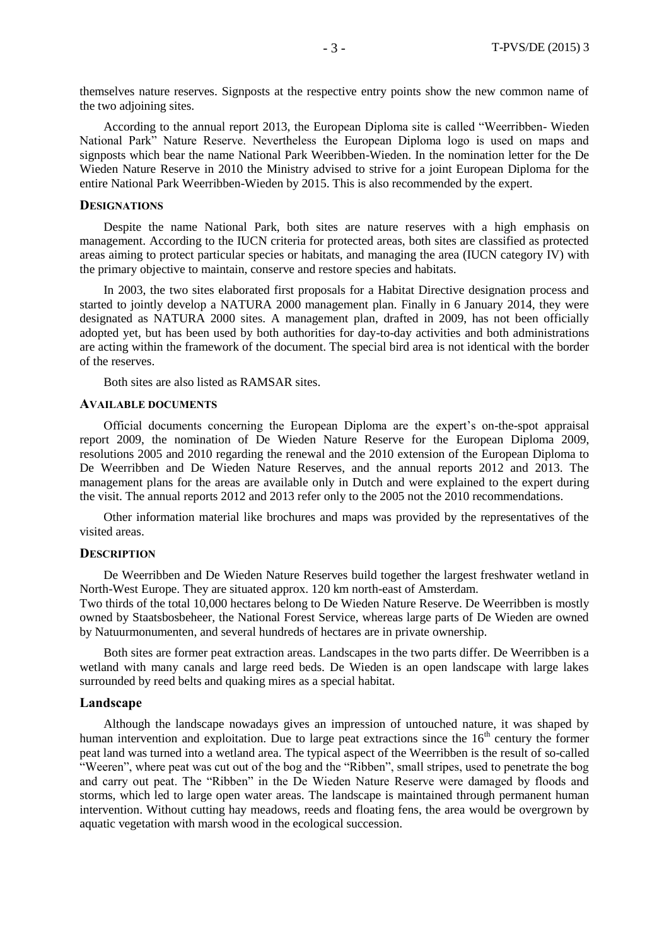themselves nature reserves. Signposts at the respective entry points show the new common name of the two adjoining sites.

According to the annual report 2013, the European Diploma site is called "Weerribben- Wieden National Park" Nature Reserve. Nevertheless the European Diploma logo is used on maps and signposts which bear the name National Park Weeribben-Wieden. In the nomination letter for the De Wieden Nature Reserve in 2010 the Ministry advised to strive for a joint European Diploma for the entire National Park Weerribben-Wieden by 2015. This is also recommended by the expert.

#### **DESIGNATIONS**

Despite the name National Park, both sites are nature reserves with a high emphasis on management. According to the IUCN criteria for protected areas, both sites are classified as protected areas aiming to protect particular species or habitats, and managing the area (IUCN category IV) with the primary objective to maintain, conserve and restore species and habitats.

In 2003, the two sites elaborated first proposals for a Habitat Directive designation process and started to jointly develop a NATURA 2000 management plan. Finally in 6 January 2014, they were designated as NATURA 2000 sites. A management plan, drafted in 2009, has not been officially adopted yet, but has been used by both authorities for day-to-day activities and both administrations are acting within the framework of the document. The special bird area is not identical with the border of the reserves.

Both sites are also listed as RAMSAR sites.

#### **AVAILABLE DOCUMENTS**

Official documents concerning the European Diploma are the expert's on-the-spot appraisal report 2009, the nomination of De Wieden Nature Reserve for the European Diploma 2009, resolutions 2005 and 2010 regarding the renewal and the 2010 extension of the European Diploma to De Weerribben and De Wieden Nature Reserves, and the annual reports 2012 and 2013. The management plans for the areas are available only in Dutch and were explained to the expert during the visit. The annual reports 2012 and 2013 refer only to the 2005 not the 2010 recommendations.

Other information material like brochures and maps was provided by the representatives of the visited areas.

#### **DESCRIPTION**

De Weerribben and De Wieden Nature Reserves build together the largest freshwater wetland in North-West Europe. They are situated approx. 120 km north-east of Amsterdam.

Two thirds of the total 10,000 hectares belong to De Wieden Nature Reserve. De Weerribben is mostly owned by Staatsbosbeheer, the National Forest Service, whereas large parts of De Wieden are owned by Natuurmonumenten, and several hundreds of hectares are in private ownership.

Both sites are former peat extraction areas. Landscapes in the two parts differ. De Weerribben is a wetland with many canals and large reed beds. De Wieden is an open landscape with large lakes surrounded by reed belts and quaking mires as a special habitat.

#### **Landscape**

Although the landscape nowadays gives an impression of untouched nature, it was shaped by human intervention and exploitation. Due to large peat extractions since the 16<sup>th</sup> century the former peat land was turned into a wetland area. The typical aspect of the Weerribben is the result of so-called "Weeren", where peat was cut out of the bog and the "Ribben", small stripes, used to penetrate the bog and carry out peat. The "Ribben" in the De Wieden Nature Reserve were damaged by floods and storms, which led to large open water areas. The landscape is maintained through permanent human intervention. Without cutting hay meadows, reeds and floating fens, the area would be overgrown by aquatic vegetation with marsh wood in the ecological succession.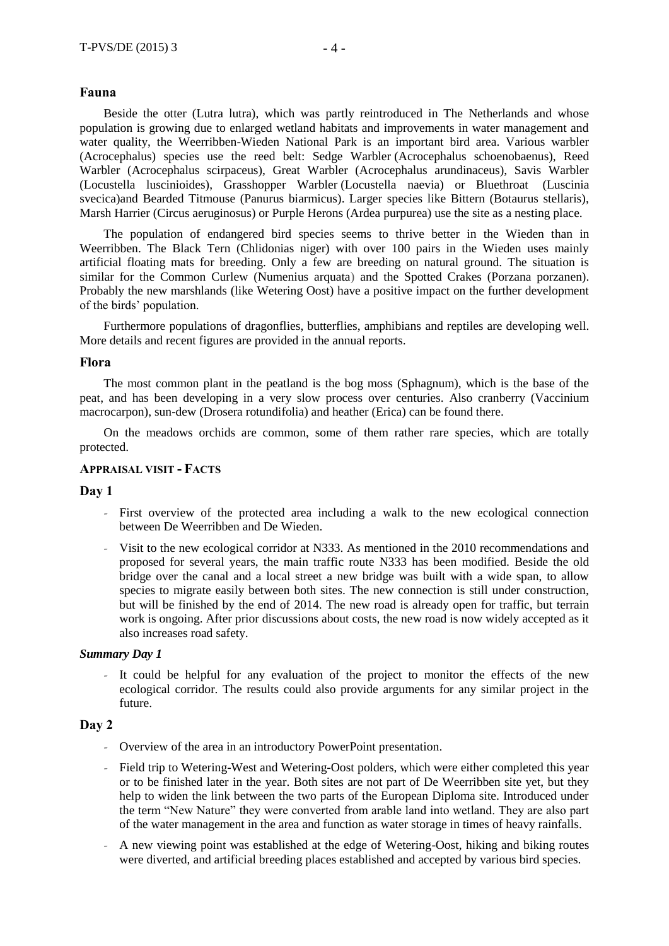# **Fauna**

Beside the otter (Lutra lutra), which was partly reintroduced in The Netherlands and whose population is growing due to enlarged wetland habitats and improvements in water management and water quality, the Weerribben-Wieden National Park is an important bird area. Various warbler (Acrocephalus) species use the reed belt: Sedge Warbler (Acrocephalus schoenobaenus), Reed Warbler (Acrocephalus scirpaceus), Great Warbler (Acrocephalus arundinaceus), Savis Warbler (Locustella luscinioides), Grasshopper Warbler (Locustella naevia) or Bluethroat (Luscinia svecica)and Bearded Titmouse (Panurus biarmicus). Larger species like Bittern (Botaurus stellaris), Marsh Harrier (Circus aeruginosus) or Purple Herons (Ardea purpurea) use the site as a nesting place.

The population of endangered bird species seems to thrive better in the Wieden than in Weerribben. The Black Tern (Chlidonias niger) with over 100 pairs in the Wieden uses mainly artificial floating mats for breeding. Only a few are breeding on natural ground. The situation is similar for the Common Curlew (Numenius arquata) and the Spotted Crakes (Porzana porzanen). Probably the new marshlands (like Wetering Oost) have a positive impact on the further development of the birds' population.

Furthermore populations of dragonflies, butterflies, amphibians and reptiles are developing well. More details and recent figures are provided in the annual reports.

# **Flora**

The most common plant in the peatland is the bog moss (Sphagnum), which is the base of the peat, and has been developing in a very slow process over centuries. Also cranberry (Vaccinium macrocarpon), sun-dew (Drosera rotundifolia) and heather (Erica) can be found there.

On the meadows orchids are common, some of them rather rare species, which are totally protected.

# **APPRAISAL VISIT - FACTS**

### **Day 1**

- *–* First overview of the protected area including a walk to the new ecological connection between De Weerribben and De Wieden.
- *–* Visit to the new ecological corridor at N333. As mentioned in the 2010 recommendations and proposed for several years, the main traffic route N333 has been modified. Beside the old bridge over the canal and a local street a new bridge was built with a wide span, to allow species to migrate easily between both sites. The new connection is still under construction, but will be finished by the end of 2014. The new road is already open for traffic, but terrain work is ongoing. After prior discussions about costs, the new road is now widely accepted as it also increases road safety.

### *Summary Day 1*

*–* It could be helpful for any evaluation of the project to monitor the effects of the new ecological corridor. The results could also provide arguments for any similar project in the future.

# **Day 2**

- *–* Overview of the area in an introductory PowerPoint presentation.
- *–* Field trip to Wetering-West and Wetering-Oost polders, which were either completed this year or to be finished later in the year. Both sites are not part of De Weerribben site yet, but they help to widen the link between the two parts of the European Diploma site. Introduced under the term "New Nature" they were converted from arable land into wetland. They are also part of the water management in the area and function as water storage in times of heavy rainfalls.
- *–* A new viewing point was established at the edge of Wetering-Oost, hiking and biking routes were diverted, and artificial breeding places established and accepted by various bird species.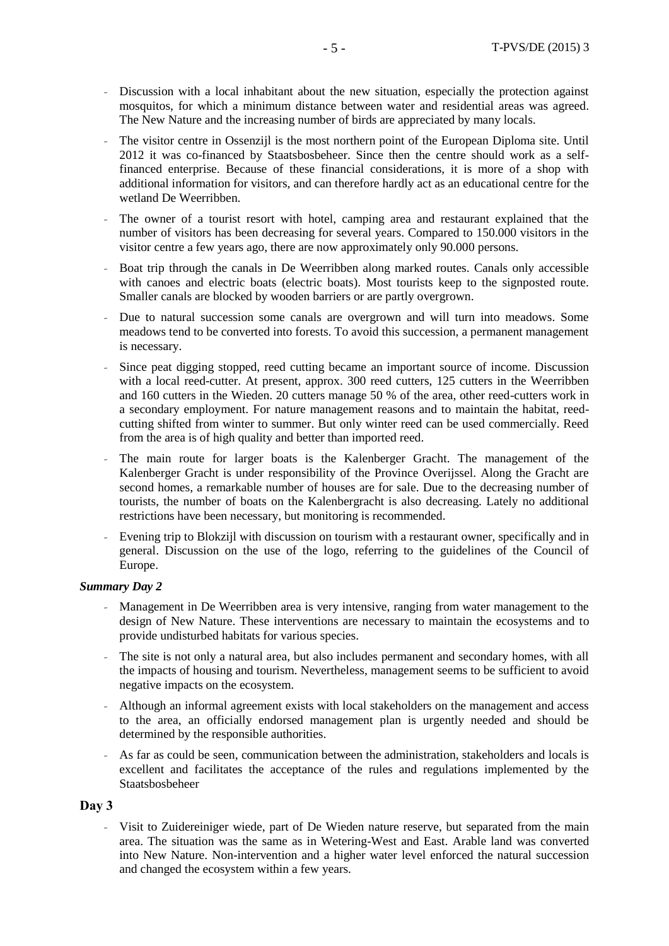- *–* Discussion with a local inhabitant about the new situation, especially the protection against mosquitos, for which a minimum distance between water and residential areas was agreed. The New Nature and the increasing number of birds are appreciated by many locals.
- *–* The visitor centre in Ossenzijl is the most northern point of the European Diploma site. Until 2012 it was co-financed by Staatsbosbeheer. Since then the centre should work as a selffinanced enterprise. Because of these financial considerations, it is more of a shop with additional information for visitors, and can therefore hardly act as an educational centre for the wetland De Weerribben.
- *–* The owner of a tourist resort with hotel, camping area and restaurant explained that the number of visitors has been decreasing for several years. Compared to 150.000 visitors in the visitor centre a few years ago, there are now approximately only 90.000 persons.
- *–* Boat trip through the canals in De Weerribben along marked routes. Canals only accessible with canoes and electric boats (electric boats). Most tourists keep to the signposted route. Smaller canals are blocked by wooden barriers or are partly overgrown.
- *–* Due to natural succession some canals are overgrown and will turn into meadows. Some meadows tend to be converted into forests. To avoid this succession, a permanent management is necessary.
- *–* Since peat digging stopped, reed cutting became an important source of income. Discussion with a local reed-cutter. At present, approx. 300 reed cutters, 125 cutters in the Weerribben and 160 cutters in the Wieden. 20 cutters manage 50 % of the area, other reed-cutters work in a secondary employment. For nature management reasons and to maintain the habitat, reedcutting shifted from winter to summer. But only winter reed can be used commercially. Reed from the area is of high quality and better than imported reed.
- *–* The main route for larger boats is the Kalenberger Gracht. The management of the Kalenberger Gracht is under responsibility of the Province Overijssel. Along the Gracht are second homes, a remarkable number of houses are for sale. Due to the decreasing number of tourists, the number of boats on the Kalenbergracht is also decreasing. Lately no additional restrictions have been necessary, but monitoring is recommended.
- *–* Evening trip to Blokzijl with discussion on tourism with a restaurant owner, specifically and in general. Discussion on the use of the logo, referring to the guidelines of the Council of Europe.

# *Summary Day 2*

- *–* Management in De Weerribben area is very intensive, ranging from water management to the design of New Nature. These interventions are necessary to maintain the ecosystems and to provide undisturbed habitats for various species.
- *–* The site is not only a natural area, but also includes permanent and secondary homes, with all the impacts of housing and tourism. Nevertheless, management seems to be sufficient to avoid negative impacts on the ecosystem.
- *–* Although an informal agreement exists with local stakeholders on the management and access to the area, an officially endorsed management plan is urgently needed and should be determined by the responsible authorities.
- *–* As far as could be seen, communication between the administration, stakeholders and locals is excellent and facilitates the acceptance of the rules and regulations implemented by the Staatsbosbeheer

# **Day 3**

*–* Visit to Zuidereiniger wiede, part of De Wieden nature reserve, but separated from the main area. The situation was the same as in Wetering-West and East. Arable land was converted into New Nature. Non-intervention and a higher water level enforced the natural succession and changed the ecosystem within a few years.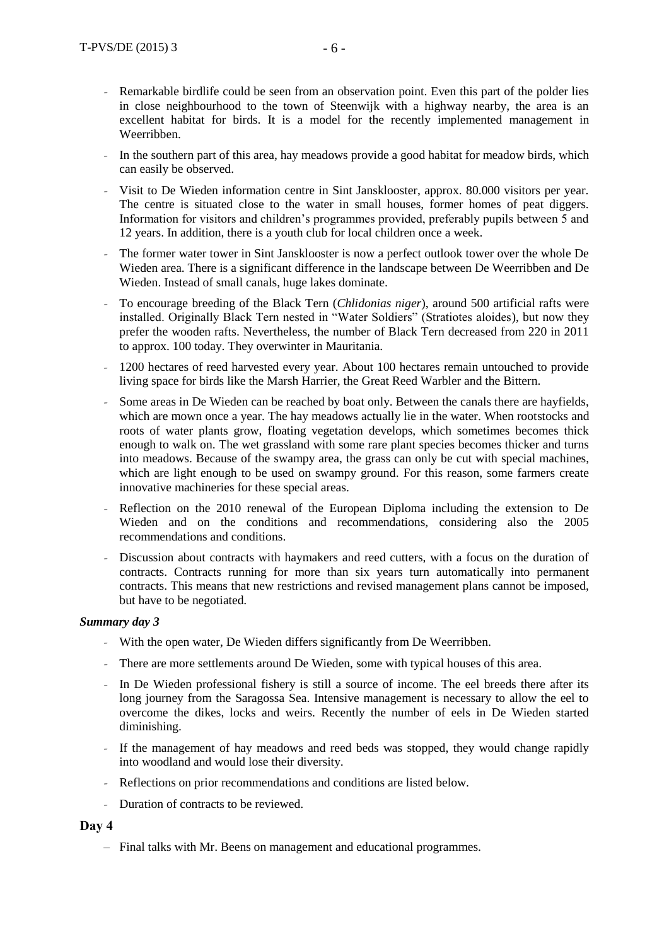- *–* Remarkable birdlife could be seen from an observation point. Even this part of the polder lies in close neighbourhood to the town of Steenwijk with a highway nearby, the area is an excellent habitat for birds. It is a model for the recently implemented management in Weerribben.
- *–* In the southern part of this area, hay meadows provide a good habitat for meadow birds, which can easily be observed.
- *–* Visit to De Wieden information centre in Sint Jansklooster, approx. 80.000 visitors per year. The centre is situated close to the water in small houses, former homes of peat diggers. Information for visitors and children's programmes provided, preferably pupils between 5 and 12 years. In addition, there is a youth club for local children once a week.
- *–* The former water tower in Sint Jansklooster is now a perfect outlook tower over the whole De Wieden area. There is a significant difference in the landscape between De Weerribben and De Wieden. Instead of small canals, huge lakes dominate.
- *–* To encourage breeding of the Black Tern (*Chlidonias niger*), around 500 artificial rafts were installed. Originally Black Tern nested in "Water Soldiers" (Stratiotes aloides), but now they prefer the wooden rafts. Nevertheless, the number of Black Tern decreased from 220 in 2011 to approx. 100 today. They overwinter in Mauritania.
- *–* 1200 hectares of reed harvested every year. About 100 hectares remain untouched to provide living space for birds like the Marsh Harrier, the Great Reed Warbler and the Bittern.
- *–* Some areas in De Wieden can be reached by boat only. Between the canals there are hayfields, which are mown once a year. The hay meadows actually lie in the water. When rootstocks and roots of water plants grow, floating vegetation develops, which sometimes becomes thick enough to walk on. The wet grassland with some rare plant species becomes thicker and turns into meadows. Because of the swampy area, the grass can only be cut with special machines, which are light enough to be used on swampy ground. For this reason, some farmers create innovative machineries for these special areas.
- *–* Reflection on the 2010 renewal of the European Diploma including the extension to De Wieden and on the conditions and recommendations, considering also the 2005 recommendations and conditions.
- *–* Discussion about contracts with haymakers and reed cutters, with a focus on the duration of contracts. Contracts running for more than six years turn automatically into permanent contracts. This means that new restrictions and revised management plans cannot be imposed, but have to be negotiated.

# *Summary day 3*

- *–* With the open water, De Wieden differs significantly from De Weerribben.
- *–* There are more settlements around De Wieden, some with typical houses of this area.
- *–* In De Wieden professional fishery is still a source of income. The eel breeds there after its long journey from the Saragossa Sea. Intensive management is necessary to allow the eel to overcome the dikes, locks and weirs. Recently the number of eels in De Wieden started diminishing.
- *–* If the management of hay meadows and reed beds was stopped, they would change rapidly into woodland and would lose their diversity.
- *–* Reflections on prior recommendations and conditions are listed below.
- *–* Duration of contracts to be reviewed.

# **Day 4**

– Final talks with Mr. Beens on management and educational programmes.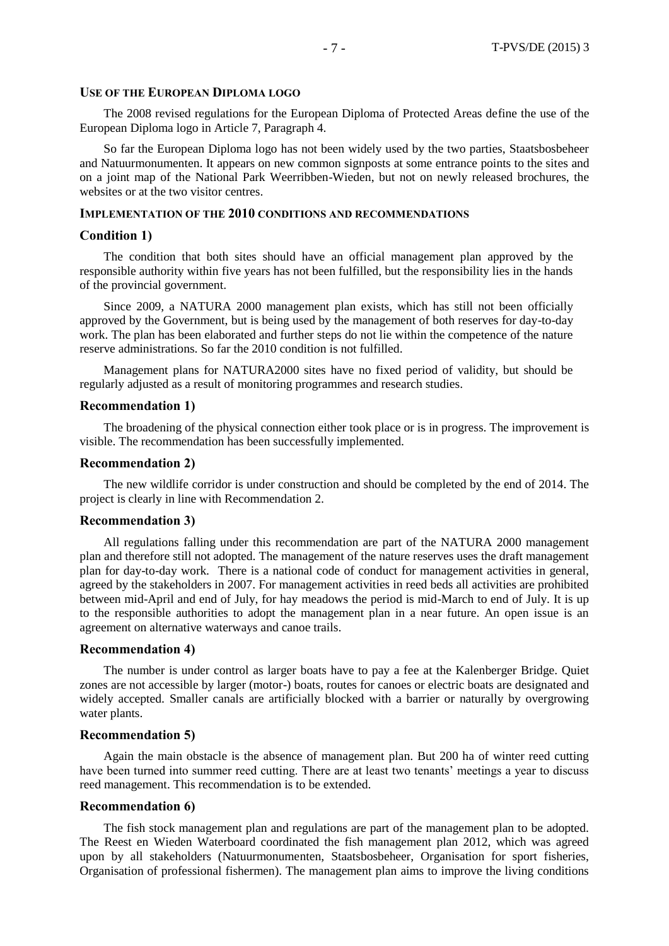# **USE OF THE EUROPEAN DIPLOMA LOGO**

The 2008 revised regulations for the European Diploma of Protected Areas define the use of the European Diploma logo in Article 7, Paragraph 4.

So far the European Diploma logo has not been widely used by the two parties, Staatsbosbeheer and Natuurmonumenten. It appears on new common signposts at some entrance points to the sites and on a joint map of the National Park Weerribben-Wieden, but not on newly released brochures, the websites or at the two visitor centres.

# **IMPLEMENTATION OF THE 2010 CONDITIONS AND RECOMMENDATIONS**

#### **Condition 1)**

The condition that both sites should have an official management plan approved by the responsible authority within five years has not been fulfilled, but the responsibility lies in the hands of the provincial government.

Since 2009, a NATURA 2000 management plan exists, which has still not been officially approved by the Government, but is being used by the management of both reserves for day-to-day work. The plan has been elaborated and further steps do not lie within the competence of the nature reserve administrations. So far the 2010 condition is not fulfilled.

Management plans for NATURA2000 sites have no fixed period of validity, but should be regularly adjusted as a result of monitoring programmes and research studies.

#### **Recommendation 1)**

The broadening of the physical connection either took place or is in progress. The improvement is visible. The recommendation has been successfully implemented.

#### **Recommendation 2)**

The new wildlife corridor is under construction and should be completed by the end of 2014. The project is clearly in line with Recommendation 2.

#### **Recommendation 3)**

All regulations falling under this recommendation are part of the NATURA 2000 management plan and therefore still not adopted. The management of the nature reserves uses the draft management plan for day-to-day work. There is a national code of conduct for management activities in general, agreed by the stakeholders in 2007. For management activities in reed beds all activities are prohibited between mid-April and end of July, for hay meadows the period is mid-March to end of July. It is up to the responsible authorities to adopt the management plan in a near future. An open issue is an agreement on alternative waterways and canoe trails.

#### **Recommendation 4)**

The number is under control as larger boats have to pay a fee at the Kalenberger Bridge. Quiet zones are not accessible by larger (motor-) boats, routes for canoes or electric boats are designated and widely accepted. Smaller canals are artificially blocked with a barrier or naturally by overgrowing water plants.

# **Recommendation 5)**

Again the main obstacle is the absence of management plan. But 200 ha of winter reed cutting have been turned into summer reed cutting. There are at least two tenants' meetings a year to discuss reed management. This recommendation is to be extended.

#### **Recommendation 6)**

The fish stock management plan and regulations are part of the management plan to be adopted. The Reest en Wieden Waterboard coordinated the fish management plan 2012, which was agreed upon by all stakeholders (Natuurmonumenten, Staatsbosbeheer, Organisation for sport fisheries, Organisation of professional fishermen). The management plan aims to improve the living conditions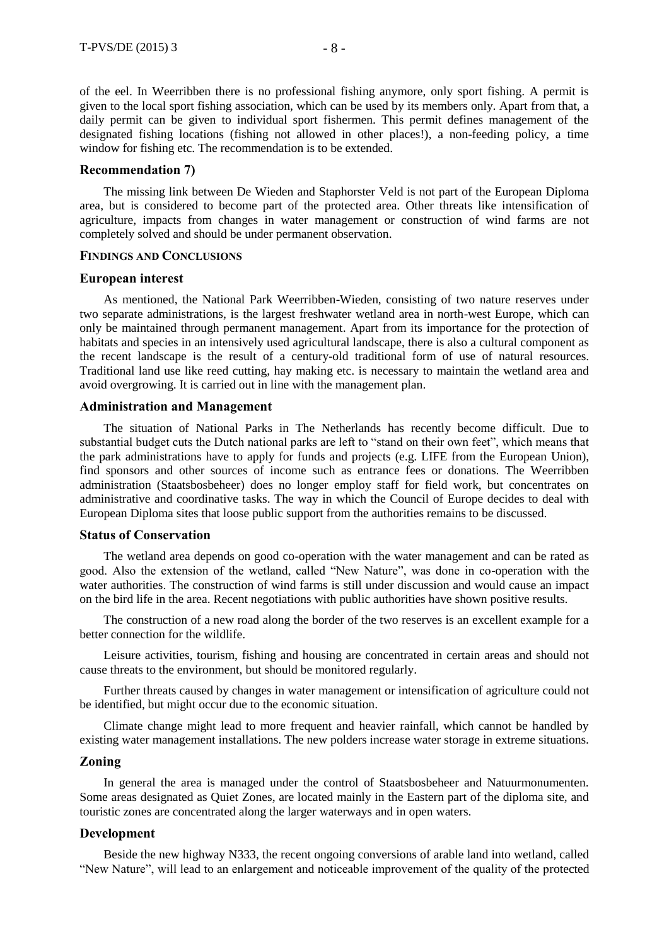of the eel. In Weerribben there is no professional fishing anymore, only sport fishing. A permit is given to the local sport fishing association, which can be used by its members only. Apart from that, a daily permit can be given to individual sport fishermen. This permit defines management of the designated fishing locations (fishing not allowed in other places!), a non-feeding policy, a time window for fishing etc. The recommendation is to be extended.

# **Recommendation 7)**

The missing link between De Wieden and Staphorster Veld is not part of the European Diploma area, but is considered to become part of the protected area. Other threats like intensification of agriculture, impacts from changes in water management or construction of wind farms are not completely solved and should be under permanent observation.

# **FINDINGS AND CONCLUSIONS**

### **European interest**

As mentioned, the National Park Weerribben-Wieden, consisting of two nature reserves under two separate administrations, is the largest freshwater wetland area in north-west Europe, which can only be maintained through permanent management. Apart from its importance for the protection of habitats and species in an intensively used agricultural landscape, there is also a cultural component as the recent landscape is the result of a century-old traditional form of use of natural resources. Traditional land use like reed cutting, hay making etc. is necessary to maintain the wetland area and avoid overgrowing. It is carried out in line with the management plan.

#### **Administration and Management**

The situation of National Parks in The Netherlands has recently become difficult. Due to substantial budget cuts the Dutch national parks are left to "stand on their own feet", which means that the park administrations have to apply for funds and projects (e.g. LIFE from the European Union), find sponsors and other sources of income such as entrance fees or donations. The Weerribben administration (Staatsbosbeheer) does no longer employ staff for field work, but concentrates on administrative and coordinative tasks. The way in which the Council of Europe decides to deal with European Diploma sites that loose public support from the authorities remains to be discussed.

# **Status of Conservation**

The wetland area depends on good co-operation with the water management and can be rated as good. Also the extension of the wetland, called "New Nature", was done in co-operation with the water authorities. The construction of wind farms is still under discussion and would cause an impact on the bird life in the area. Recent negotiations with public authorities have shown positive results.

The construction of a new road along the border of the two reserves is an excellent example for a better connection for the wildlife.

Leisure activities, tourism, fishing and housing are concentrated in certain areas and should not cause threats to the environment, but should be monitored regularly.

Further threats caused by changes in water management or intensification of agriculture could not be identified, but might occur due to the economic situation.

Climate change might lead to more frequent and heavier rainfall, which cannot be handled by existing water management installations. The new polders increase water storage in extreme situations.

# **Zoning**

In general the area is managed under the control of Staatsbosbeheer and Natuurmonumenten. Some areas designated as Quiet Zones, are located mainly in the Eastern part of the diploma site, and touristic zones are concentrated along the larger waterways and in open waters.

# **Development**

Beside the new highway N333, the recent ongoing conversions of arable land into wetland, called "New Nature", will lead to an enlargement and noticeable improvement of the quality of the protected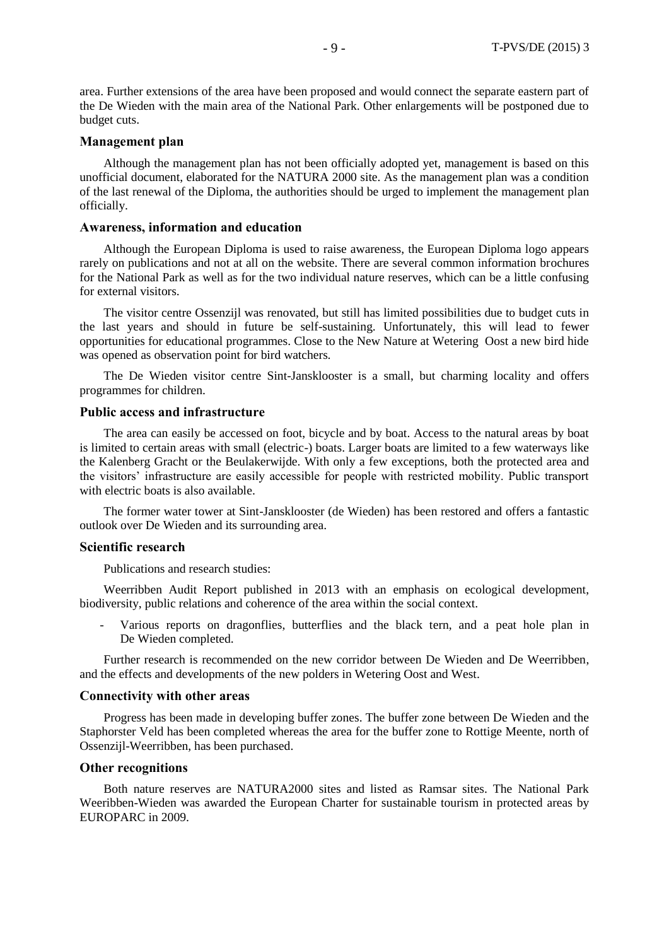area. Further extensions of the area have been proposed and would connect the separate eastern part of the De Wieden with the main area of the National Park. Other enlargements will be postponed due to budget cuts.

# **Management plan**

Although the management plan has not been officially adopted yet, management is based on this unofficial document, elaborated for the NATURA 2000 site. As the management plan was a condition of the last renewal of the Diploma, the authorities should be urged to implement the management plan officially.

# **Awareness, information and education**

Although the European Diploma is used to raise awareness, the European Diploma logo appears rarely on publications and not at all on the website. There are several common information brochures for the National Park as well as for the two individual nature reserves, which can be a little confusing for external visitors.

The visitor centre Ossenzijl was renovated, but still has limited possibilities due to budget cuts in the last years and should in future be self-sustaining. Unfortunately, this will lead to fewer opportunities for educational programmes. Close to the New Nature at Wetering Oost a new bird hide was opened as observation point for bird watchers.

The De Wieden visitor centre Sint-Jansklooster is a small, but charming locality and offers programmes for children.

# **Public access and infrastructure**

The area can easily be accessed on foot, bicycle and by boat. Access to the natural areas by boat is limited to certain areas with small (electric-) boats. Larger boats are limited to a few waterways like the Kalenberg Gracht or the Beulakerwijde. With only a few exceptions, both the protected area and the visitors' infrastructure are easily accessible for people with restricted mobility. Public transport with electric boats is also available.

The former water tower at Sint-Jansklooster (de Wieden) has been restored and offers a fantastic outlook over De Wieden and its surrounding area.

# **Scientific research**

Publications and research studies:

Weerribben Audit Report published in 2013 with an emphasis on ecological development, biodiversity, public relations and coherence of the area within the social context.

Various reports on dragonflies, butterflies and the black tern, and a peat hole plan in De Wieden completed.

Further research is recommended on the new corridor between De Wieden and De Weerribben, and the effects and developments of the new polders in Wetering Oost and West.

# **Connectivity with other areas**

Progress has been made in developing buffer zones. The buffer zone between De Wieden and the Staphorster Veld has been completed whereas the area for the buffer zone to Rottige Meente, north of Ossenzijl-Weerribben, has been purchased.

# **Other recognitions**

Both nature reserves are NATURA2000 sites and listed as Ramsar sites. The National Park Weeribben-Wieden was awarded the European Charter for sustainable tourism in protected areas by EUROPARC in 2009.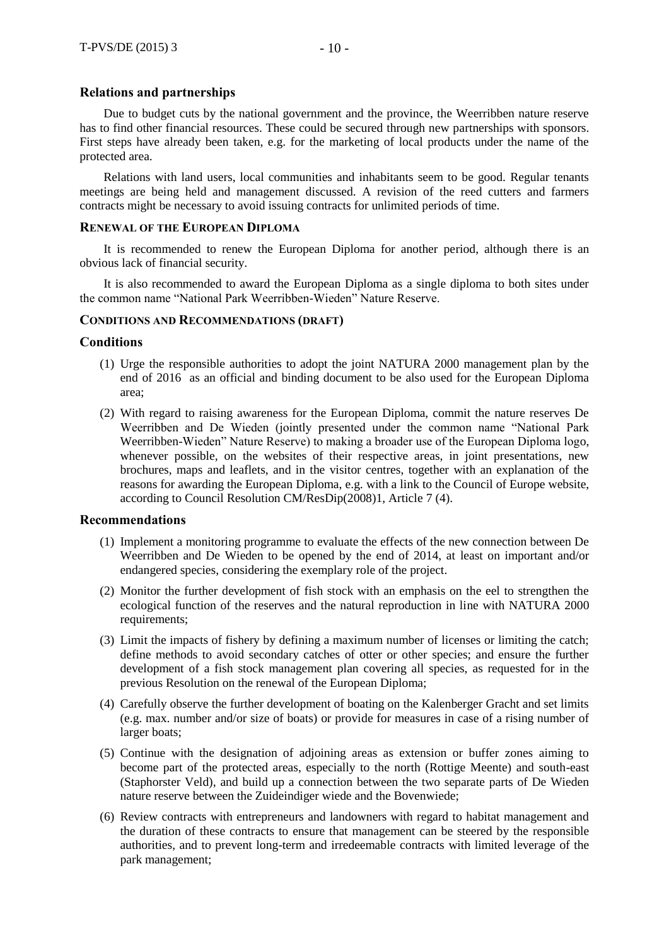# **Relations and partnerships**

Due to budget cuts by the national government and the province, the Weerribben nature reserve has to find other financial resources. These could be secured through new partnerships with sponsors. First steps have already been taken, e.g. for the marketing of local products under the name of the protected area.

Relations with land users, local communities and inhabitants seem to be good. Regular tenants meetings are being held and management discussed. A revision of the reed cutters and farmers contracts might be necessary to avoid issuing contracts for unlimited periods of time.

# **RENEWAL OF THE EUROPEAN DIPLOMA**

It is recommended to renew the European Diploma for another period, although there is an obvious lack of financial security.

It is also recommended to award the European Diploma as a single diploma to both sites under the common name "National Park Weerribben-Wieden" Nature Reserve.

# **CONDITIONS AND RECOMMENDATIONS (DRAFT)**

# **Conditions**

- (1) Urge the responsible authorities to adopt the joint NATURA 2000 management plan by the end of 2016 as an official and binding document to be also used for the European Diploma area;
- (2) With regard to raising awareness for the European Diploma, commit the nature reserves De Weerribben and De Wieden (jointly presented under the common name "National Park Weerribben-Wieden" Nature Reserve) to making a broader use of the European Diploma logo, whenever possible, on the websites of their respective areas, in joint presentations, new brochures, maps and leaflets, and in the visitor centres, together with an explanation of the reasons for awarding the European Diploma, e.g. with a link to the Council of Europe website, according to Council Resolution CM/ResDip(2008)1, Article 7 (4).

### **Recommendations**

- (1) Implement a monitoring programme to evaluate the effects of the new connection between De Weerribben and De Wieden to be opened by the end of 2014, at least on important and/or endangered species, considering the exemplary role of the project.
- (2) Monitor the further development of fish stock with an emphasis on the eel to strengthen the ecological function of the reserves and the natural reproduction in line with NATURA 2000 requirements;
- (3) Limit the impacts of fishery by defining a maximum number of licenses or limiting the catch; define methods to avoid secondary catches of otter or other species; and ensure the further development of a fish stock management plan covering all species, as requested for in the previous Resolution on the renewal of the European Diploma;
- (4) Carefully observe the further development of boating on the Kalenberger Gracht and set limits (e.g. max. number and/or size of boats) or provide for measures in case of a rising number of larger boats;
- (5) Continue with the designation of adjoining areas as extension or buffer zones aiming to become part of the protected areas, especially to the north (Rottige Meente) and south-east (Staphorster Veld), and build up a connection between the two separate parts of De Wieden nature reserve between the Zuideindiger wiede and the Bovenwiede;
- (6) Review contracts with entrepreneurs and landowners with regard to habitat management and the duration of these contracts to ensure that management can be steered by the responsible authorities, and to prevent long-term and irredeemable contracts with limited leverage of the park management;